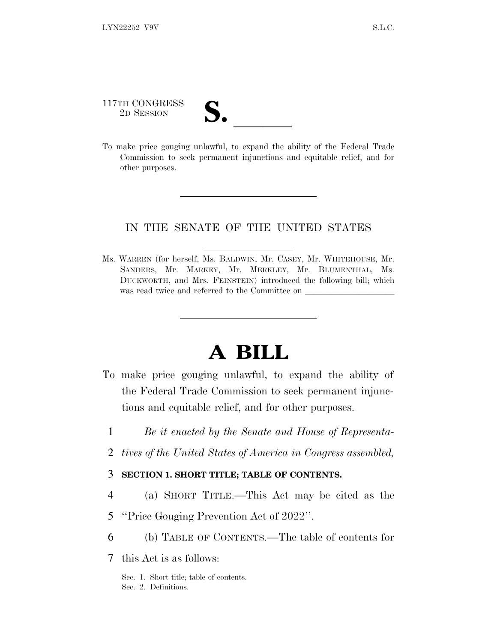117TH CONGRESS 117TH CONGRESS<br>
2D SESSION<br>
To make price gouging unlawful, to expand the ability of the Federal Trade

Commission to seek permanent injunctions and equitable relief, and for other purposes.

## IN THE SENATE OF THE UNITED STATES

Ms. WARREN (for herself, Ms. BALDWIN, Mr. CASEY, Mr. WHITEHOUSE, Mr. SANDERS, Mr. MARKEY, Mr. MERKLEY, Mr. BLUMENTHAL, Ms. DUCKWORTH, and Mrs. FEINSTEIN) introduced the following bill; which was read twice and referred to the Committee on

## **A BILL**

- To make price gouging unlawful, to expand the ability of the Federal Trade Commission to seek permanent injunctions and equitable relief, and for other purposes.
	- 1 *Be it enacted by the Senate and House of Representa-*
	- 2 *tives of the United States of America in Congress assembled,*
	- 3 **SECTION 1. SHORT TITLE; TABLE OF CONTENTS.**
	- 4 (a) SHORT TITLE.—This Act may be cited as the
	- 5 ''Price Gouging Prevention Act of 2022''.
- 6 (b) TABLE OF CONTENTS.—The table of contents for
- 7 this Act is as follows:

Sec. 1. Short title; table of contents. Sec. 2. Definitions.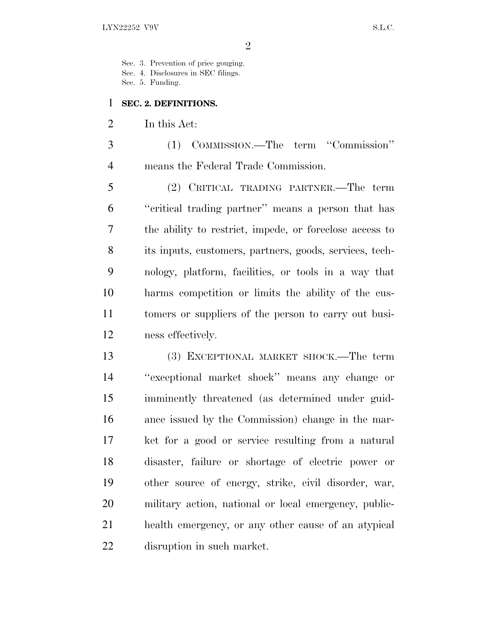Sec. 3. Prevention of price gouging.

Sec. 4. Disclosures in SEC filings.

Sec. 5. Funding.

## **SEC. 2. DEFINITIONS.**

In this Act:

 (1) COMMISSION.—The term ''Commission'' means the Federal Trade Commission.

 (2) CRITICAL TRADING PARTNER.—The term ''critical trading partner'' means a person that has the ability to restrict, impede, or foreclose access to its inputs, customers, partners, goods, services, tech- nology, platform, facilities, or tools in a way that harms competition or limits the ability of the cus- tomers or suppliers of the person to carry out busi-ness effectively.

 (3) EXCEPTIONAL MARKET SHOCK.—The term ''exceptional market shock'' means any change or imminently threatened (as determined under guid- ance issued by the Commission) change in the mar- ket for a good or service resulting from a natural disaster, failure or shortage of electric power or other source of energy, strike, civil disorder, war, military action, national or local emergency, public- health emergency, or any other cause of an atypical disruption in such market.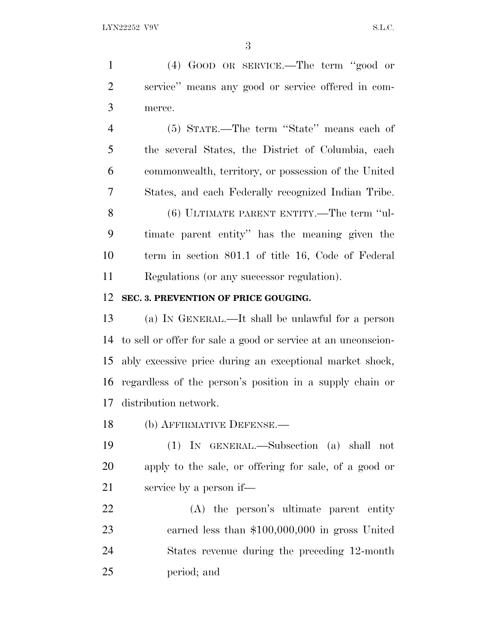(4) GOOD OR SERVICE.—The term ''good or service'' means any good or service offered in com-merce.

 (5) STATE.—The term ''State'' means each of the several States, the District of Columbia, each commonwealth, territory, or possession of the United States, and each Federally recognized Indian Tribe. (6) ULTIMATE PARENT ENTITY.—The term ''ul- timate parent entity'' has the meaning given the term in section 801.1 of title 16, Code of Federal Regulations (or any successor regulation).

## **SEC. 3. PREVENTION OF PRICE GOUGING.**

 (a) I<sup>N</sup> GENERAL.—It shall be unlawful for a person to sell or offer for sale a good or service at an unconscion- ably excessive price during an exceptional market shock, regardless of the person's position in a supply chain or distribution network.

(b) AFFIRMATIVE DEFENSE.—

 (1) IN GENERAL.—Subsection (a) shall not apply to the sale, or offering for sale, of a good or service by a person if—

 (A) the person's ultimate parent entity earned less than \$100,000,000 in gross United States revenue during the preceding 12-month period; and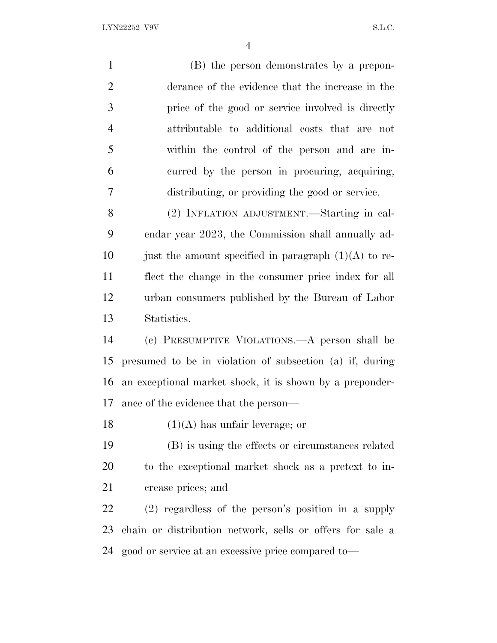LYN22252 V9V S.L.C.

 (B) the person demonstrates by a prepon- derance of the evidence that the increase in the price of the good or service involved is directly attributable to additional costs that are not within the control of the person and are in- curred by the person in procuring, acquiring, distributing, or providing the good or service. (2) INFLATION ADJUSTMENT.—Starting in cal- endar year 2023, the Commission shall annually ad-10 just the amount specified in paragraph  $(1)(A)$  to re- flect the change in the consumer price index for all urban consumers published by the Bureau of Labor Statistics. (c) PRESUMPTIVE VIOLATIONS.—A person shall be presumed to be in violation of subsection (a) if, during an exceptional market shock, it is shown by a preponder- ance of the evidence that the person—  $(1)(A)$  has unfair leverage; or (B) is using the effects or circumstances related to the exceptional market shock as a pretext to in- crease prices; and (2) regardless of the person's position in a supply chain or distribution network, sells or offers for sale a good or service at an excessive price compared to—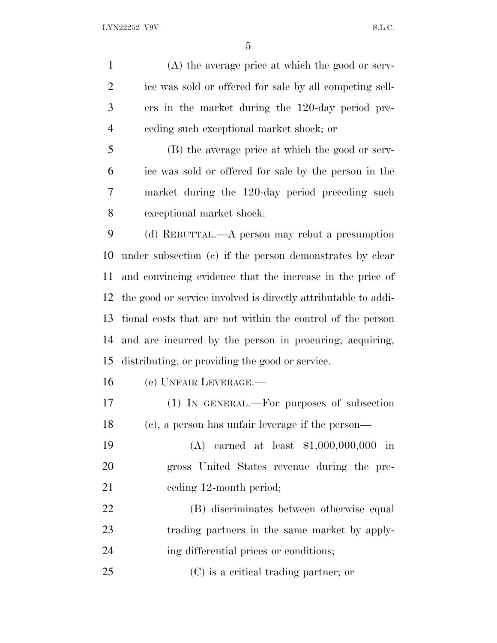(A) the average price at which the good or serv- ice was sold or offered for sale by all competing sell- ers in the market during the 120-day period pre-ceding such exceptional market shock; or

 (B) the average price at which the good or serv- ice was sold or offered for sale by the person in the market during the 120-day period preceding such exceptional market shock.

 (d) REBUTTAL.—A person may rebut a presumption under subsection (c) if the person demonstrates by clear and convincing evidence that the increase in the price of the good or service involved is directly attributable to addi- tional costs that are not within the control of the person and are incurred by the person in procuring, acquiring, distributing, or providing the good or service.

(e) UNFAIR LEVERAGE.—

 (1) IN GENERAL.—For purposes of subsection (c), a person has unfair leverage if the person—

 (A) earned at least \$1,000,000,000 in gross United States revenue during the pre-21 ceding 12-month period;

 (B) discriminates between otherwise equal trading partners in the same market by apply-ing differential prices or conditions;

(C) is a critical trading partner; or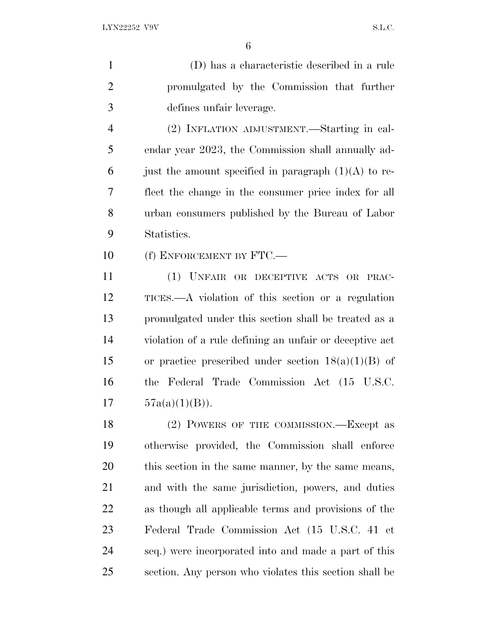(D) has a characteristic described in a rule promulgated by the Commission that further defines unfair leverage. (2) INFLATION ADJUSTMENT.—Starting in cal- endar year 2023, the Commission shall annually ad-6 just the amount specified in paragraph  $(1)(A)$  to re- flect the change in the consumer price index for all urban consumers published by the Bureau of Labor Statistics. 10 (f) ENFORCEMENT BY FTC.— (1) UNFAIR OR DECEPTIVE ACTS OR PRAC- TICES.—A violation of this section or a regulation promulgated under this section shall be treated as a violation of a rule defining an unfair or deceptive act 15 or practice prescribed under section  $18(a)(1)(B)$  of the Federal Trade Commission Act (15 U.S.C.  $57a(a)(1)(B)$ . 18 (2) POWERS OF THE COMMISSION.—Except as otherwise provided, the Commission shall enforce this section in the same manner, by the same means, and with the same jurisdiction, powers, and duties as though all applicable terms and provisions of the Federal Trade Commission Act (15 U.S.C. 41 et seq.) were incorporated into and made a part of this

section. Any person who violates this section shall be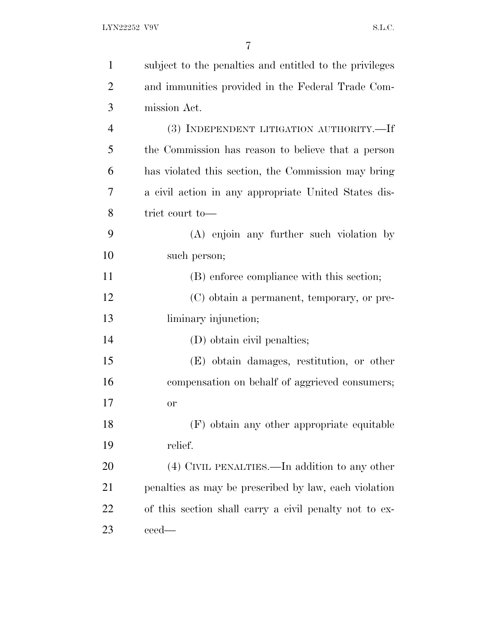| $\mathbf{1}$   | subject to the penalties and entitled to the privileges |
|----------------|---------------------------------------------------------|
| $\overline{2}$ | and immunities provided in the Federal Trade Com-       |
| 3              | mission Act.                                            |
| 4              | (3) INDEPENDENT LITIGATION AUTHORITY.-If                |
| 5              | the Commission has reason to believe that a person      |
| 6              | has violated this section, the Commission may bring     |
| 7              | a civil action in any appropriate United States dis-    |
| 8              | trict court to-                                         |
| 9              | (A) enjoin any further such violation by                |
| 10             | such person;                                            |
| 11             | (B) enforce compliance with this section;               |
| 12             | (C) obtain a permanent, temporary, or pre-              |
| 13             | liminary injunction;                                    |
| 14             | (D) obtain civil penalties;                             |
| 15             | (E) obtain damages, restitution, or other               |
| 16             | compensation on behalf of aggrieved consumers;          |
| 17             | or                                                      |
| 18             | (F) obtain any other appropriate equitable              |
| 19             | relief.                                                 |
| 20             | $(4)$ CIVIL PENALTIES.—In addition to any other         |
| 21             | penalties as may be prescribed by law, each violation   |
| 22             | of this section shall carry a civil penalty not to ex-  |
| 23             | ceed—                                                   |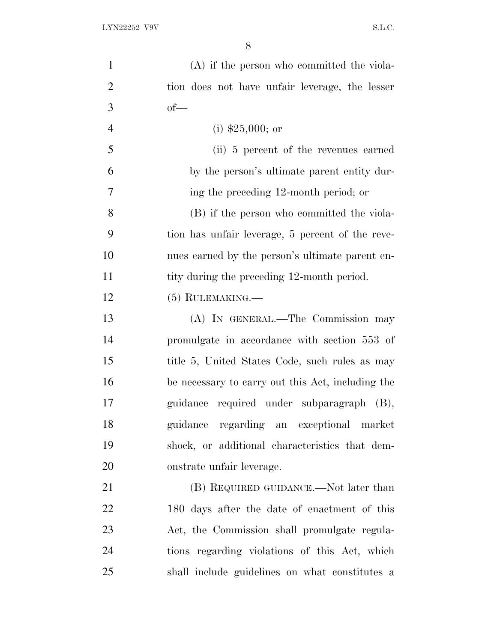| $\mathbf{1}$   | $(A)$ if the person who committed the viola-      |
|----------------|---------------------------------------------------|
| $\overline{2}$ | tion does not have unfair leverage, the lesser    |
| 3              | $of$ —                                            |
| $\overline{4}$ | (i) $$25,000$ ; or                                |
| 5              | (ii) 5 percent of the revenues earned             |
| 6              | by the person's ultimate parent entity dur-       |
| $\overline{7}$ | ing the preceding 12-month period; or             |
| 8              | (B) if the person who committed the viola-        |
| 9              | tion has unfair leverage, 5 percent of the reve-  |
| 10             | nues earned by the person's ultimate parent en-   |
| 11             | tity during the preceding 12-month period.        |
| 12             | $(5)$ RULEMAKING.—                                |
| 13             | (A) IN GENERAL.—The Commission may                |
| 14             | promulgate in accordance with section 553 of      |
| 15             | title 5, United States Code, such rules as may    |
| 16             | be necessary to carry out this Act, including the |
| 17             | guidance required under subparagraph (B),         |
| 18             | regarding an exceptional market<br>guidance       |
| 19             | shock, or additional characteristics that dem-    |
| 20             | onstrate unfair leverage.                         |
| 21             | (B) REQUIRED GUIDANCE.—Not later than             |
| 22             | 180 days after the date of enactment of this      |
| 23             | Act, the Commission shall promulgate regula-      |
| 24             | tions regarding violations of this Act, which     |
| 25             | shall include guidelines on what constitutes a    |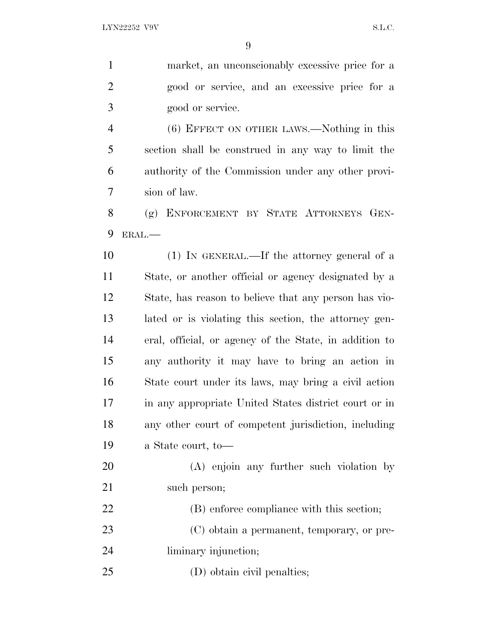| $\mathbf{1}$   | market, an unconscionably excessive price for a        |
|----------------|--------------------------------------------------------|
| $\overline{2}$ | good or service, and an excessive price for a          |
| 3              | good or service.                                       |
| $\overline{4}$ | (6) EFFECT ON OTHER LAWS.—Nothing in this              |
| 5              | section shall be construed in any way to limit the     |
| 6              | authority of the Commission under any other provi-     |
| 7              | sion of law.                                           |
| 8              | (g) ENFORCEMENT BY STATE ATTORNEYS GEN-                |
| 9              | ERAL.-                                                 |
| 10             | (1) IN GENERAL.—If the attorney general of a           |
| 11             | State, or another official or agency designated by a   |
| 12             | State, has reason to believe that any person has vio-  |
| 13             | lated or is violating this section, the attorney gen-  |
| 14             | eral, official, or agency of the State, in addition to |
| 15             | any authority it may have to bring an action in        |
| 16             | State court under its laws, may bring a civil action   |
| 17             | in any appropriate United States district court or in  |
| 18             | any other court of competent jurisdiction, including   |
| 19             | a State court, to-                                     |
| 20             | (A) enjoin any further such violation by               |
| 21             | such person;                                           |
| 22             | (B) enforce compliance with this section;              |
| 23             | (C) obtain a permanent, temporary, or pre-             |
| 24             | liminary injunction;                                   |
| 25             | (D) obtain civil penalties;                            |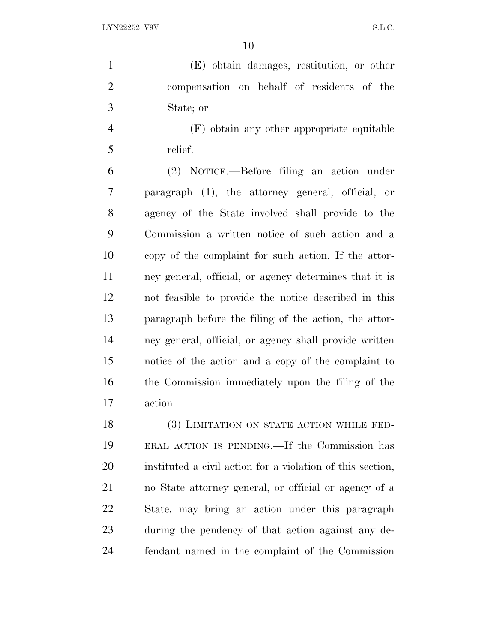(E) obtain damages, restitution, or other compensation on behalf of residents of the State; or

 (F) obtain any other appropriate equitable relief.

 (2) NOTICE.—Before filing an action under paragraph (1), the attorney general, official, or agency of the State involved shall provide to the Commission a written notice of such action and a copy of the complaint for such action. If the attor- ney general, official, or agency determines that it is not feasible to provide the notice described in this paragraph before the filing of the action, the attor- ney general, official, or agency shall provide written notice of the action and a copy of the complaint to the Commission immediately upon the filing of the action.

18 (3) LIMITATION ON STATE ACTION WHILE FED- ERAL ACTION IS PENDING.—If the Commission has instituted a civil action for a violation of this section, no State attorney general, or official or agency of a State, may bring an action under this paragraph during the pendency of that action against any de-fendant named in the complaint of the Commission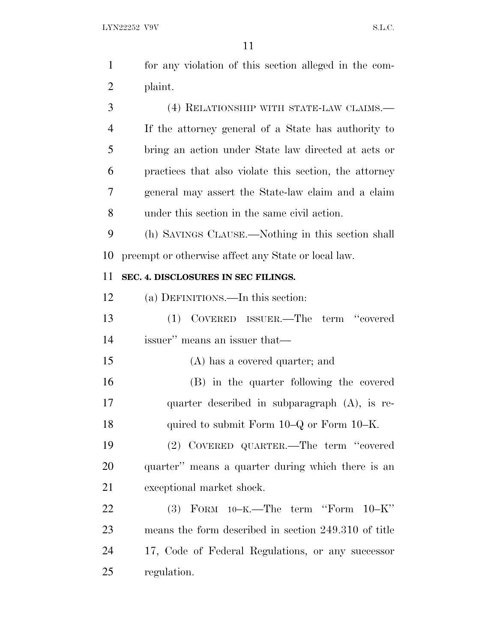| $\mathbf{1}$   | for any violation of this section alleged in the com-  |
|----------------|--------------------------------------------------------|
| $\overline{2}$ | plaint.                                                |
| 3              | (4) RELATIONSHIP WITH STATE-LAW CLAIMS.—               |
| $\overline{4}$ | If the attorney general of a State has authority to    |
| 5              | bring an action under State law directed at acts or    |
| 6              | practices that also violate this section, the attorney |
| 7              | general may assert the State-law claim and a claim     |
| 8              | under this section in the same civil action.           |
| 9              | (h) SAVINGS CLAUSE.—Nothing in this section shall      |
| 10             | preempt or otherwise affect any State or local law.    |
| 11             | SEC. 4. DISCLOSURES IN SEC FILINGS.                    |
| 12             | (a) DEFINITIONS.—In this section:                      |
| 13             | COVERED ISSUER.—The term "covered<br>(1)               |
| 14             | issuer" means an issuer that—                          |
| 15             | (A) has a covered quarter; and                         |
| 16             | (B) in the quarter following the covered               |
| 17             | quarter described in subparagraph $(A)$ , is re-       |
| 18             | quired to submit Form 10–Q or Form 10–K.               |
| 19             | (2) COVERED QUARTER.—The term "covered                 |
| 20             | quarter" means a quarter during which there is an      |
| 21             | exceptional market shock.                              |
| 22             | $(3)$ FORM $10-K$ . The term "Form $10-K$ "            |
| 23             | means the form described in section 249.310 of title   |
| 24             | 17, Code of Federal Regulations, or any successor      |
| 25             | regulation.                                            |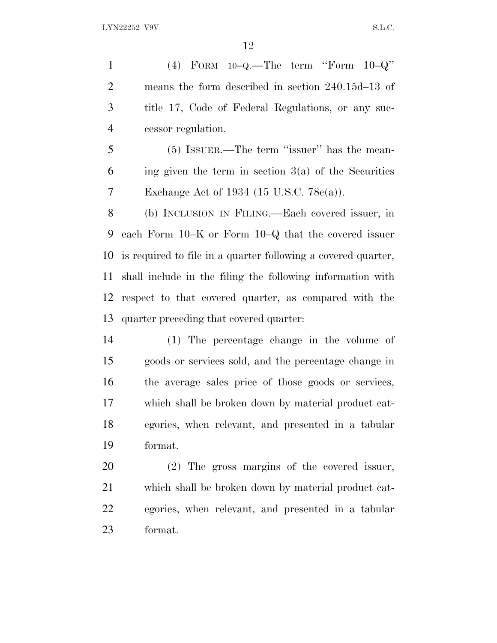(4) FORM 10–Q.—The term ''Form 10–Q'' means the form described in section 240.15d–13 of title 17, Code of Federal Regulations, or any suc-cessor regulation.

 (5) ISSUER.—The term ''issuer'' has the mean- ing given the term in section  $3(a)$  of the Securities Exchange Act of 1934 (15 U.S.C. 78c(a)).

 (b) INCLUSION IN FILING.—Each covered issuer, in each Form 10–K or Form 10–Q that the covered issuer is required to file in a quarter following a covered quarter, shall include in the filing the following information with respect to that covered quarter, as compared with the quarter preceding that covered quarter:

 (1) The percentage change in the volume of goods or services sold, and the percentage change in the average sales price of those goods or services, which shall be broken down by material product cat- egories, when relevant, and presented in a tabular format.

 (2) The gross margins of the covered issuer, which shall be broken down by material product cat- egories, when relevant, and presented in a tabular format.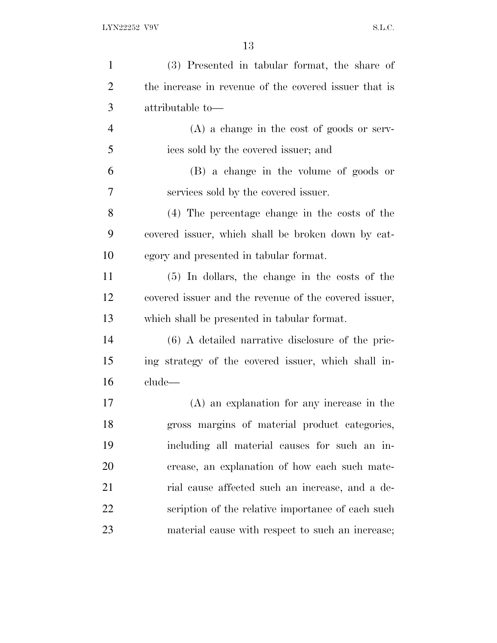| $\mathbf{1}$   | (3) Presented in tabular format, the share of         |
|----------------|-------------------------------------------------------|
| $\overline{2}$ | the increase in revenue of the covered issuer that is |
| 3              | attributable to-                                      |
| $\overline{4}$ | $(A)$ a change in the cost of goods or serv-          |
| 5              | ices sold by the covered issuer; and                  |
| 6              | (B) a change in the volume of goods or                |
| 7              | services sold by the covered issuer.                  |
| 8              | (4) The percentage change in the costs of the         |
| 9              | covered issuer, which shall be broken down by cat-    |
| 10             | egory and presented in tabular format.                |
| 11             | $(5)$ In dollars, the change in the costs of the      |
| 12             | covered issuer and the revenue of the covered issuer, |
| 13             | which shall be presented in tabular format.           |
| 14             | $(6)$ A detailed narrative disclosure of the pric-    |
| 15             | ing strategy of the covered issuer, which shall in-   |
| 16             | $_{\rm clude}$                                        |
| 17             | (A) an explanation for any increase in the            |
| 18             | gross margins of material product categories,         |
| 19             | including all material causes for such an in-         |
| 20             | crease, an explanation of how each such mate-         |
| 21             | rial cause affected such an increase, and a de-       |
| 22             | scription of the relative importance of each such     |
| 23             | material cause with respect to such an increase;      |
|                |                                                       |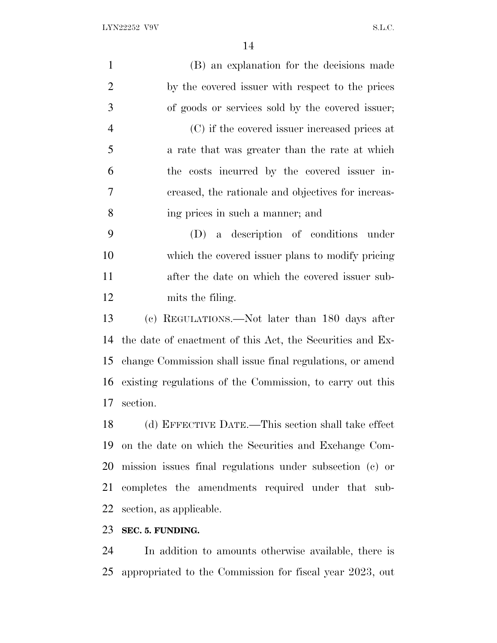| $\mathbf{1}$   | (B) an explanation for the decisions made                 |
|----------------|-----------------------------------------------------------|
| $\overline{2}$ | by the covered issuer with respect to the prices          |
| 3              | of goods or services sold by the covered issuer;          |
| $\overline{4}$ | (C) if the covered issuer increased prices at             |
| 5              | a rate that was greater than the rate at which            |
| 6              | the costs incurred by the covered issuer in-              |
| $\overline{7}$ | creased, the rationale and objectives for increas-        |
| 8              | ing prices in such a manner; and                          |
| 9              | (D) a description of conditions under                     |
| 10             | which the covered issuer plans to modify pricing          |
| 11             | after the date on which the covered issuer sub-           |
| 12             | mits the filing.                                          |
| 13             | (c) REGULATIONS.—Not later than 180 days after            |
| 14             | the date of enactment of this Act, the Securities and Ex- |
| 15             | change Commission shall issue final regulations, or amend |
| 16             | existing regulations of the Commission, to carry out this |
| 17             | section.                                                  |
| 18             | (d) EFFECTIVE DATE.—This section shall take effect        |
| 19             | on the date on which the Securities and Exchange Com-     |
| 20             | mission issues final regulations under subsection (c) or  |
| 21             | completes the amendments required under that sub-         |
| 22             | section, as applicable.                                   |
| 23             | SEC. 5. FUNDING.                                          |
|                |                                                           |

 In addition to amounts otherwise available, there is appropriated to the Commission for fiscal year 2023, out